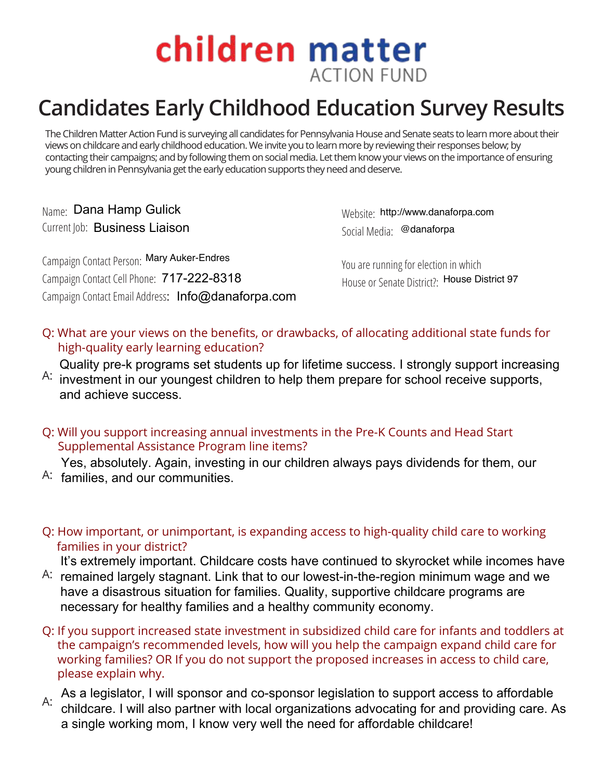## children matter **ACTION FUND**

## **Candidates Early Childhood Education Survey Results**

The Children Matter Action Fund is surveying all candidates for Pennsylvania House and Senate seats to learn more about their views on childcare and early childhood education. We invite you to learn more by reviewing their responses below; by contacting their campaigns; and by following them on social media. Let them know your views on the importance of ensuring young children in Pennsylvania get the early education supports they need and deserve.

<sub>Name:</sub> Dana Hamp Gulick Current Job: Business Liaison

1a Hamp Gulick <sub>Website:</sub> http://www.danaforpa.com<br>Business Liaison <sub>Social Media</sub> @danaforpa Social Media: @danaforpa

Campaign Contact Person: Mary Auker-Endres Campaign Contact Cell Phone: 717-222-8318 Campaign Contact Email Address: Info@danaforpa.com House or Senate District?: Info@danaforpa.com House District 97

You are running for election in which

Q: What are your views on the benefits, or drawbacks, of allocating additional state funds for high-quality early learning education?

Quality pre-k programs set students up for lifetime success. I strongly support increasing

- $A$ : investment in our youngest children to help them prepare for school receive supports, and achieve success.
- Q: Will you support increasing annual investments in the Pre-K Counts and Head Start Supplemental Assistance Program line items?

A: families, and our communities. Yes, absolutely. Again, investing in our children always pays dividends for them, our

Q: How important, or unimportant, is expanding access to high-quality child care to working families in your district?

It's extremely important. Childcare costs have continued to skyrocket while incomes have

- A: remained largely stagnant. Link that to our lowest-in-the-region minimum wage and we have a disastrous situation for families. Quality, supportive childcare programs are necessary for healthy families and a healthy community economy.
- Q: If you support increased state investment in subsidized child care for infants and toddlers at the campaign's recommended levels, how will you help the campaign expand child care for working families? OR If you do not support the proposed increases in access to child care, please explain why.
- A: As a legislator, I will sponsor and co-sponsor legislation to support access to affordable childcare. I will also partner with local organizations advocating for and providing care. As a single working mom, I know very well the need for affordable childcare!